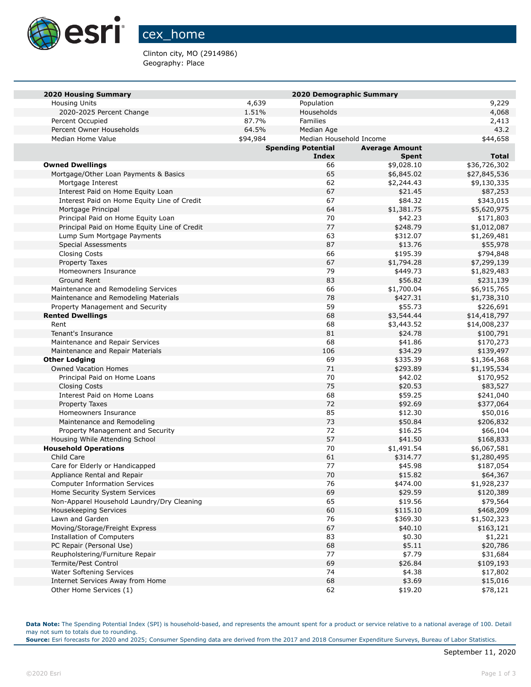

## cex\_home

Clinton city, MO (2914986) Geography: Place

| <b>2020 Housing Summary</b>                              | 2020 Demographic Summary |                           |                       |                        |  |
|----------------------------------------------------------|--------------------------|---------------------------|-----------------------|------------------------|--|
| <b>Housing Units</b>                                     | 4,639                    | Population                |                       | 9,229                  |  |
| 2020-2025 Percent Change                                 | 1.51%                    | Households                |                       | 4,068                  |  |
| Percent Occupied                                         | 87.7%                    | <b>Families</b>           |                       | 2,413                  |  |
| Percent Owner Households                                 | 64.5%                    | Median Age                |                       | 43.2                   |  |
| Median Home Value                                        | \$94,984                 | Median Household Income   |                       | \$44,658               |  |
|                                                          |                          | <b>Spending Potential</b> | <b>Average Amount</b> |                        |  |
|                                                          |                          | Index                     | <b>Spent</b>          | <b>Total</b>           |  |
| <b>Owned Dwellings</b>                                   |                          | 66                        | \$9,028.10            | \$36,726,302           |  |
| Mortgage/Other Loan Payments & Basics                    |                          | 65                        | \$6,845.02            | \$27,845,536           |  |
| Mortgage Interest                                        |                          | 62                        | \$2,244.43            | \$9,130,335            |  |
| Interest Paid on Home Equity Loan                        |                          | 67                        | \$21.45               | \$87,253               |  |
| Interest Paid on Home Equity Line of Credit              |                          | 67                        | \$84.32               | \$343,015              |  |
| Mortgage Principal                                       |                          | 64                        | \$1,381.75            | \$5,620,975            |  |
| Principal Paid on Home Equity Loan                       |                          | 70                        | \$42.23               | \$171,803              |  |
| Principal Paid on Home Equity Line of Credit             |                          | 77                        | \$248.79              | \$1,012,087            |  |
| Lump Sum Mortgage Payments                               |                          | 63                        | \$312.07              | \$1,269,481            |  |
| <b>Special Assessments</b>                               |                          | 87                        | \$13.76               | \$55,978               |  |
| <b>Closing Costs</b>                                     |                          | 66                        | \$195.39              | \$794,848              |  |
| Property Taxes                                           |                          | 67                        | \$1,794.28            | \$7,299,139            |  |
| Homeowners Insurance                                     |                          | 79                        | \$449.73              | \$1,829,483            |  |
| Ground Rent                                              |                          | 83                        | \$56.82               | \$231,139              |  |
| Maintenance and Remodeling Services                      |                          | 66                        | \$1,700.04            | \$6,915,765            |  |
| Maintenance and Remodeling Materials                     |                          | 78                        | \$427.31              | \$1,738,310            |  |
| Property Management and Security                         |                          | 59                        | \$55.73               | \$226,691              |  |
| <b>Rented Dwellings</b>                                  |                          | 68                        | \$3,544.44            | \$14,418,797           |  |
| Rent                                                     |                          | 68<br>81                  | \$3,443.52<br>\$24.78 | \$14,008,237           |  |
| Tenant's Insurance                                       |                          | 68                        | \$41.86               | \$100,791<br>\$170,273 |  |
| Maintenance and Repair Services                          |                          | 106                       | \$34.29               | \$139,497              |  |
| Maintenance and Repair Materials<br><b>Other Lodging</b> |                          | 69                        | \$335.39              | \$1,364,368            |  |
| <b>Owned Vacation Homes</b>                              |                          | 71                        | \$293.89              | \$1,195,534            |  |
| Principal Paid on Home Loans                             |                          | 70                        | \$42.02               | \$170,952              |  |
| <b>Closing Costs</b>                                     |                          | 75                        | \$20.53               | \$83,527               |  |
| Interest Paid on Home Loans                              |                          | 68                        | \$59.25               | \$241,040              |  |
| <b>Property Taxes</b>                                    |                          | 72                        | \$92.69               | \$377,064              |  |
| Homeowners Insurance                                     |                          | 85                        | \$12.30               | \$50,016               |  |
| Maintenance and Remodeling                               |                          | 73                        | \$50.84               | \$206,832              |  |
| Property Management and Security                         |                          | 72                        | \$16.25               | \$66,104               |  |
| Housing While Attending School                           |                          | 57                        | \$41.50               | \$168,833              |  |
| <b>Household Operations</b>                              |                          | 70                        | \$1,491.54            | \$6,067,581            |  |
| Child Care                                               |                          | 61                        | \$314.77              | \$1,280,495            |  |
| Care for Elderly or Handicapped                          |                          | 77                        | \$45.98               | \$187,054              |  |
| Appliance Rental and Repair                              |                          | 70                        | \$15.82               | \$64,367               |  |
| <b>Computer Information Services</b>                     |                          | 76                        | \$474.00              | \$1,928,237            |  |
| Home Security System Services                            |                          | 69                        | \$29.59               | \$120,389              |  |
| Non-Apparel Household Laundry/Dry Cleaning               |                          | 65                        | \$19.56               | \$79,564               |  |
| Housekeeping Services                                    |                          | 60                        | \$115.10              | \$468,209              |  |
| Lawn and Garden                                          |                          | 76                        | \$369.30              | \$1,502,323            |  |
| Moving/Storage/Freight Express                           |                          | 67                        | \$40.10               | \$163,121              |  |
| <b>Installation of Computers</b>                         |                          | 83                        | \$0.30                | \$1,221                |  |
| PC Repair (Personal Use)                                 |                          | 68                        | \$5.11                | \$20,786               |  |
| Reupholstering/Furniture Repair                          |                          | 77                        | \$7.79                | \$31,684               |  |
| Termite/Pest Control                                     |                          | 69                        | \$26.84               | \$109,193              |  |
| Water Softening Services                                 |                          | 74                        | \$4.38                | \$17,802               |  |
| Internet Services Away from Home                         |                          | 68                        | \$3.69                | \$15,016               |  |
| Other Home Services (1)                                  |                          | 62                        | \$19.20               | \$78,121               |  |

**Data Note:** The Spending Potential Index (SPI) is household-based, and represents the amount spent for a product or service relative to a national average of 100. Detail may not sum to totals due to rounding.

**Source:** Esri forecasts for 2020 and 2025; Consumer Spending data are derived from the 2017 and 2018 Consumer Expenditure Surveys, Bureau of Labor Statistics.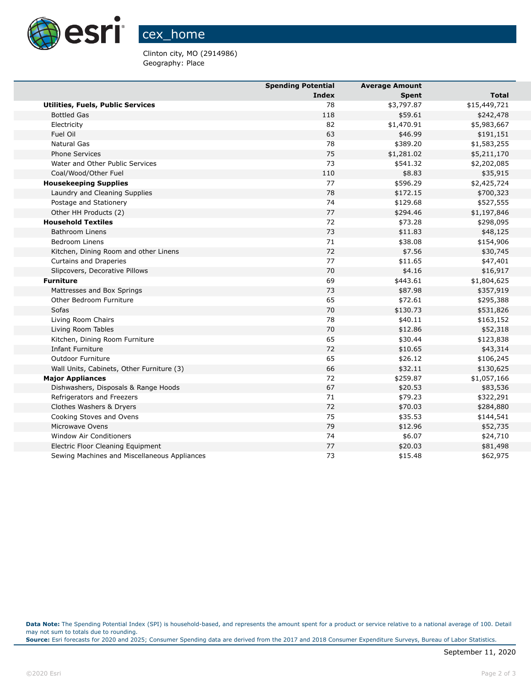

Clinton city, MO (2914986) Geography: Place

|                                              | <b>Spending Potential</b> | <b>Average Amount</b> |              |
|----------------------------------------------|---------------------------|-----------------------|--------------|
|                                              | Index                     | <b>Spent</b>          | Total        |
| <b>Utilities, Fuels, Public Services</b>     | 78                        | \$3,797.87            | \$15,449,721 |
| <b>Bottled Gas</b>                           | 118                       | \$59.61               | \$242,478    |
| Electricity                                  | 82                        | \$1,470.91            | \$5,983,667  |
| Fuel Oil                                     | 63                        | \$46.99               | \$191,151    |
| Natural Gas                                  | 78                        | \$389.20              | \$1,583,255  |
| <b>Phone Services</b>                        | 75                        | \$1,281.02            | \$5,211,170  |
| Water and Other Public Services              | 73                        | \$541.32              | \$2,202,085  |
| Coal/Wood/Other Fuel                         | 110                       | \$8.83                | \$35,915     |
| <b>Housekeeping Supplies</b>                 | 77                        | \$596.29              | \$2,425,724  |
| Laundry and Cleaning Supplies                | 78                        | \$172.15              | \$700,323    |
| Postage and Stationery                       | 74                        | \$129.68              | \$527,555    |
| Other HH Products (2)                        | 77                        | \$294.46              | \$1,197,846  |
| <b>Household Textiles</b>                    | 72                        | \$73.28               | \$298,095    |
| <b>Bathroom Linens</b>                       | 73                        | \$11.83               | \$48,125     |
| <b>Bedroom Linens</b>                        | 71                        | \$38.08               | \$154,906    |
| Kitchen, Dining Room and other Linens        | 72                        | \$7.56                | \$30,745     |
| Curtains and Draperies                       | 77                        | \$11.65               | \$47,401     |
| Slipcovers, Decorative Pillows               | 70                        | \$4.16                | \$16,917     |
| <b>Furniture</b>                             | 69                        | \$443.61              | \$1,804,625  |
| Mattresses and Box Springs                   | 73                        | \$87.98               | \$357,919    |
| Other Bedroom Furniture                      | 65                        | \$72.61               | \$295,388    |
| Sofas                                        | 70                        | \$130.73              | \$531,826    |
| Living Room Chairs                           | 78                        | \$40.11               | \$163,152    |
| Living Room Tables                           | 70                        | \$12.86               | \$52,318     |
| Kitchen, Dining Room Furniture               | 65                        | \$30.44               | \$123,838    |
| <b>Infant Furniture</b>                      | 72                        | \$10.65               | \$43,314     |
| <b>Outdoor Furniture</b>                     | 65                        | \$26.12               | \$106,245    |
| Wall Units, Cabinets, Other Furniture (3)    | 66                        | \$32.11               | \$130,625    |
| <b>Major Appliances</b>                      | 72                        | \$259.87              | \$1,057,166  |
| Dishwashers, Disposals & Range Hoods         | 67                        | \$20.53               | \$83,536     |
| Refrigerators and Freezers                   | 71                        | \$79.23               | \$322,291    |
| Clothes Washers & Dryers                     | 72                        | \$70.03               | \$284,880    |
| Cooking Stoves and Ovens                     | 75                        | \$35.53               | \$144,541    |
| Microwave Ovens                              | 79                        | \$12.96               | \$52,735     |
| Window Air Conditioners                      | 74                        | \$6.07                | \$24,710     |
| Electric Floor Cleaning Equipment            | 77                        | \$20.03               | \$81,498     |
| Sewing Machines and Miscellaneous Appliances | 73                        | \$15.48               | \$62,975     |

**Data Note:** The Spending Potential Index (SPI) is household-based, and represents the amount spent for a product or service relative to a national average of 100. Detail may not sum to totals due to rounding.

**Source:** Esri forecasts for 2020 and 2025; Consumer Spending data are derived from the 2017 and 2018 Consumer Expenditure Surveys, Bureau of Labor Statistics.